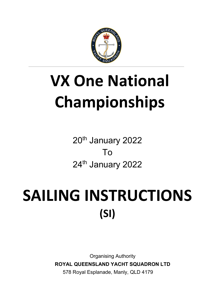

# **VX One National Championships**

20<sup>th</sup> January 2022 To 24<sup>th</sup> January 2022

# SAILING INSTRUCTIONS **(SI)**

Organising Authority **ROYAL QUEENSLAND YACHT SQUADRON LTD** 578 Royal Esplanade, Manly, QLD 4179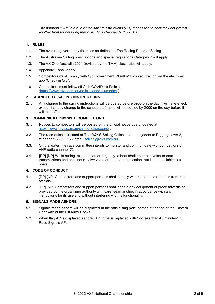*The notation '[NP]' in a rule of the sailing instructions (SIs) means that a boat may not protest another boat for breaking that rule. This changes RRS 60.1(a).* 

#### **1. RULES**

- 1.1. The event is governed by the rules as defined in The Racing Rules of Sailing.
- 1.2. The Australian Sailing prescriptions and special regulations Category 7 will apply.
- 1.3. The VX One Australia 2021 (revised by the TMH) class rules will apply.
- 1.4. Appendix T shall apply
- 1.5. Competitors must comply with Qld Government COVID-19 contact tracing via the electronic app "Check in Qld".
- 1.6. Competitors must follow all Club COVID-19 Policies [\(https://www.rqys.com.au/policiesanddocuments/](https://www.rqys.com.au/policiesanddocuments/) )

#### **2. CHANGES TO SAILING INSTRUCTIONS**

2.1. Any change to the sailing instructions will be posted before 0900 on the day it will take effect, except that any change to the schedule of races will be posted by 2000 on the day before it will take effect.

#### **3. COMMUNICATIONS WITH COMPETITORS**

- 3.1. Notices to competitors will be posted on the official notice board located at <https://www.rqys.com.au/sailingnoticeboard/> .
- 3.2. The race office is located at The RQYS Sailing Office located adjacent to Rigging Lawn 2, telephone 3396 8666, email sailing@rgys.com.au.
- 3.3. On the water, the race committee intends to monitor and communicate with competitors on VHF radio channel 72.
- 3.4. [DP] [NP] While racing, except in an emergency, a boat shall not make voice or data transmissions and shall not receive voice or data communication that is not available to all boats.

#### **4. CODE OF CONDUCT**

- 4.1 [DP] [NP] Competitors and support persons shall comply with reasonable requests from race officials.
- 4.2 [DP] [NP] Competitors and support persons shall handle any equipment or place advertising provided by the organizing authority with care, seamanship, in accordance with any instructions for its use and without interfering with its functionality.

#### **5. SIGNALS MADE ASHORE**

- 5.1. Signals made ashore will be displayed at the official flag pole located at the top of the Eastern Gangway of the Bill Kirby Docks.
- 5.2. When flag AP is displayed ashore, '1 minute' is replaced with 'not less than 45 minutes' in Race Signals AP.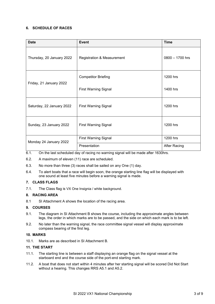#### **6. SCHEDULE OF RACES**

| <b>Date</b>               | <b>Event</b>                          | <b>Time</b>         |
|---------------------------|---------------------------------------|---------------------|
| Thursday, 20 January 2022 | <b>Registration &amp; Measurement</b> | 0800 - 1700 hrs     |
| Friday, 21 January 2022   | <b>Competitor Briefing</b>            | 1200 hrs            |
|                           | <b>First Warning Signal</b>           | 1400 hrs            |
| Saturday, 22 January 2022 | <b>First Warning Signal</b>           | 1200 hrs            |
| Sunday, 23 January 2022   | <b>First Warning Signal</b>           | 1200 hrs            |
| Monday 24 January 2022    | <b>First Warning Signal</b>           | 1200 hrs            |
|                           | Presentation                          | <b>After Racing</b> |

- 6.1. On the last scheduled day of racing no warning signal will be made after 1630hrs.
- 6.2. A maximum of eleven (11) race are scheduled.
- 6.3. No more than three (3) races shall be sailed on any One (1) day.
- 6.4. To alert boats that a race will begin soon, the orange starting line flag will be displayed with one sound at least five minutes before a warning signal is made.

#### **7. CLASS FLAGS**

7.1. The Class flag is VX One Insignia / white background.

#### **8. RACING AREA**

8.1 SI Attachment A shows the location of the racing area.

#### **9. COURSES**

- 9.1. The diagram in SI Attachment B shows the course, including the approximate angles between legs, the order in which marks are to be passed, and the side on which each mark is to be left.
- 9.2. No later than the warning signal, the race committee signal vessel will display approximate compass bearing of the first leg.

#### **10. MARKS**

10.1. Marks are as described in SI Attachment B.

#### **11. THE START**

- 11.1. The starting line is between a staff displaying an orange flag on the signal vessel at the starboard end and the course side of the port-end starting mark.
- 11.2. A boat that does not start within 4 minutes after her starting signal will be scored Did Not Start without a hearing. This changes RRS A5.1 and A5.2.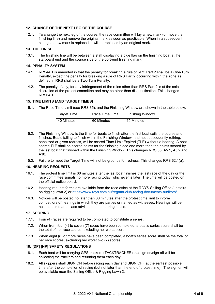#### **12. CHANGE OF THE NEXT LEG OF THE COURSE**

12.1. To change the next leg of the course, the race committee will lay a new mark (or move the finishing line) and remove the original mark as soon as practicable. When in a subsequent change a new mark is replaced, it will be replaced by an original mark.

#### **13. THE FINISH**

13.1. The finishing line will be between a staff displaying a blue flag on the finishing boat at the starboard end and the course side of the port-end finishing mark.

#### **14. PENALTY SYSTEM**

- 14.1. RRS44.1 is amended in that the penalty for breaking a rule of RRS Part 2 shall be a One-Turn Penalty, except the penalty for breaking a rule of RRS Part 2 occurring within the zone as defined in RRS shall be a Two-Turn Penalty.
- 14.2. The penalty, if any, for any infringement of the rules other than RRS Part 2 is at the sole discretion of the protest committee and may be other than disqualification. This changes RRS64.1.

#### **15. TIME LIMITS [AND TARGET TIMES]**

15.1. The Race Time Limit (see RRS 35), and the Finishing Window are shown in the table below.

| <b>Target Time</b> | Race Time Limit | <b>Finishing Window</b> |
|--------------------|-----------------|-------------------------|
| 40 Minutes         | 60 Minutes      | 15 Minutes              |

- 15.2. The Finishing Window is the time for boats to finish after the first boat sails the course and finishes. Boats failing to finish within the Finishing Window, and not subsequently retiring, penalized or given redress, will be scored Time Limit Expired (TLE) without a hearing. A boat scored TLE shall be scored points for the finishing place one more than the points scored by the last boat that finished within the Finishing Window. This changes RRS 35, A5.1, A5.2 and A10.
- 15.3. Failure to meet the Target Time will not be grounds for redress. This changes RRS 62.1(a).

#### **16. HEARING REQUESTS**

- 16.1. The protest time limit is 60 minutes after the last boat finishes the last race of the day or the race committee signals no more racing today, whichever is later. The time will be posted on the official notice board.
- 16.2. Hearing request forms are available from the race office at the RQYS Sailing Office (upstairs on rigging lawn 2) or<https://www.rqys.com.au/regatta-club-racing-documents-auditors/>
- 16.3. Notices will be posted no later than 30 minutes after the protest time limit to inform competitors of hearings in which they are parties or named as witnesses. Hearings will be held at a time and place advised on the hearing notice.

#### **17. SCORING**

- 17.1. Four (4) races are required to be completed to constitute a series.
- 17.2. When from four (4) to seven (7) races have been completed, a boat's series score shall be the total of her race scores, excluding her worst score.
- 17.3. When eight (8) or more races have been completed, a boat's series score shall be the total of her race scores, excluding her worst two (2) scores.

#### **18. [DP] [NP] SAFETY REGULATIONS**

- 18.1. Each boat will be carrying GPS trackers (TACKTRACKER) the sign on/sign off will be collecting the trackers and returning them each day
- 18.2. All skippers shall SIGN ON before racing each day and SIGN OFF at the earliest possible time after the completion of racing (but not later than the end of protest time). The sign on will be available near the Sailing Office & Rigging Lawn 2.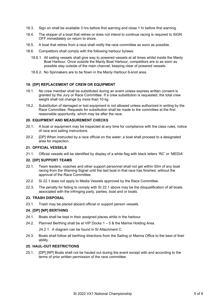- 18.3. Sign on shall be available 3 hrs before first warning and close 1 hr before first warning.
- 18.4. The skipper of a boat that retires or does not intend to continue racing is required to SIGN OFF immediately on return to shore.
- 18.5. A boat that retires from a race shall notify the race committee as soon as possible.
- 18.6. Competitors shall comply with the following harbour bylaws:
	- 18.6.1. All sailing vessels shall give way to powered vessels at all times whilst inside the Manly Boat Harbour. Once outside the Manly Boat Harbour, competitors are to as soon as possible stay outside of the main channel, keeping clear of powered vessels.
	- 18.6.2. No Spinnakers are to be flown in the Manly Harbour 6-knot area.

#### **19. [DP] REPLACEMENT OF CREW OR EQUIPMENT**

- 19.1. No crew member shall be substituted during an event unless express written consent is granted by the Jury or Race Committee. If a crew substitution is requested, the total crew weight shall not change by more than 10 kg.
- 19.2. Substitution of damaged or lost equipment is not allowed unless authorized in writing by the Race Committee. Requests for substitution shall be made to the committee at the first reasonable opportunity, which may be after the race.

#### **20. EQUIPMENT AND MEASUREMENT CHECKS**

- 20.1. A boat or equipment may be inspected at any time for compliance with the class rules, notice of race and sailing instructions.
- 20.2. [DP] When instructed by a race official on the water, a boat shall proceed to a designated area for inspection.

#### **21. OFFICIAL VESSELS**

21.1. Official vessels will be identified by display of a white flag with black letters 'RC' or 'MEDIA'.

#### **22. [DP] SUPPORT TEAMS**

- 22.1. Team leaders, coaches and other support personnel shall not get within 50m of any boat racing from the Warning Signal until the last boat in that race has finished, without the approval of the Race Committee.
- 22.2. SI 22.1 does not apply to Media Vessels approved by the Race Committee.
- 22.3. The penalty for failing to comply with SI 22.1 above may be the disqualification of all boats associated with the infringing party, parties, boat and or boats.

#### **23. TRASH DISPOSAL**

23.1. Trash may be placed aboard official or support person vessels.

#### **24. [DP] [NP] BERTHING**

- 24.1. Boats shall be kept in their assigned places while in the harbour.
- 24.2. Planned Berthing shall be at VIP Docks 1 5 & the Marine Holding Area.

24.2.1. A diagram can be found in SI Attachment C.

24.3. Boats shall follow all berthing directions from the Sailing or Marina Office to the best of their ability.

#### **25. HAUL-OUT RESTRICTIONS**

25.1. [DP] [NP] Boats shall not be hauled out during the event except with and according to the terms of prior written permission of the race committee.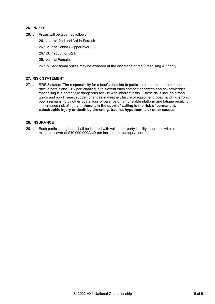#### **26. PRIZES**

- 26.1. Prizes will be given as follows:
	- 26.1.1. 1st, 2nd and 3rd in Scratch.
	- 26.1.2. 1st Senior Skipper over 60.
	- 26.1.3. 1st Junior U21.
	- 26.1.4. 1st Female.
	- 26.1.5. Additional prizes may be awarded at the discretion of the Organising Authority.

#### **27. RISK STATEMENT**

27.1. RRS 3 states: 'The responsibility for a boat's decision to participate in a race or to continue to race is hers alone.' By participating in this event each competitor agrees and acknowledges that sailing is a potentially dangerous activity with inherent risks. These risks include strong winds and rough seas, sudden changes in weather, failure of equipment, boat handling errors, poor seamanship by other boats, loss of balance on an unstable platform and fatigue resulting in increased risk of injury. **Inherent in the sport of sailing is the risk of permanent, catastrophic injury or death by drowning, trauma, hypothermia or other causes.**

#### **28. INSURANCE**

28.1. Each participating boat shall be insured with valid third-party liability insurance with a minimum cover of \$10,000,000AUD per incident or the equivalent.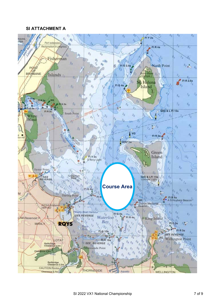### **SI ATTACHMENT A**

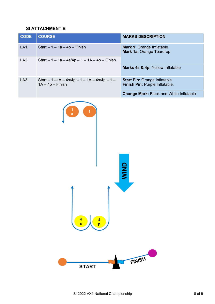# **SI ATTACHMENT B**

| <b>CODE</b> | <b>COURSE</b>                                                        | <b>MARKS DESCRIPTION</b>                                              |  |
|-------------|----------------------------------------------------------------------|-----------------------------------------------------------------------|--|
| LA1         | Start $-1 - 1a - 4p - Finish$                                        | <b>Mark 1: Orange Inflatable</b><br><b>Mark 1a: Orange Teardrop</b>   |  |
| LA2         | Start $-1 - 1a - 4s/4p - 1 - 1A - 4p - Finish$                       |                                                                       |  |
|             |                                                                      | Marks 4s & 4p: Yellow Inflatable                                      |  |
| LA3         | Start $-1 - 1A - 4s/4p - 1 - 1A - 4s/4p - 1 -$<br>$1A - 4p - Finish$ | <b>Start Pin: Orange Inflatable</b><br>Finish Pin: Purple Inflatable. |  |
|             |                                                                      | <b>Change Mark: Black and White Inflatable</b>                        |  |